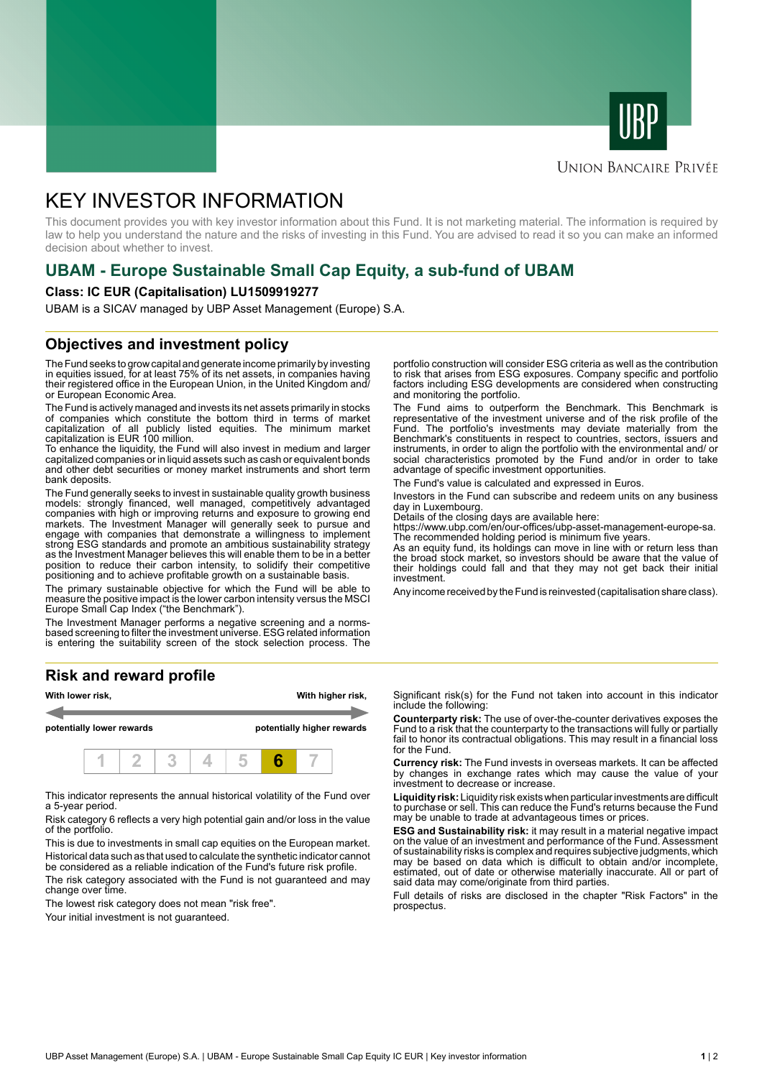



### **UNION BANCAIRE PRIVÉE**

# KEY INVESTOR INFORMATION

This document provides you with key investor information about this Fund. It is not marketing material. The information is required by law to help you understand the nature and the risks of investing in this Fund. You are advised to read it so you can make an informed decision about whether to invest.

# **UBAM - Europe Sustainable Small Cap Equity, a sub-fund of UBAM**

#### **Class: IC EUR (Capitalisation) LU1509919277**

UBAM is a SICAV managed by UBP Asset Management (Europe) S.A.

### **Objectives and investment policy**

The Fund seeks to grow capital and generate income primarily by investing in equities issued, for at least 75% of its net assets, in companies having their registered office in the European Union, in the United Kingdom and/ or European Economic Area.

The Fund is actively managed and invests its net assets primarily in stocks of companies which constitute the bottom third in terms of market capitalization of all publicly listed equities. The minimum market capitalization is EUR 100 million.

To enhance the liquidity, the Fund will also invest in medium and larger capitalized companies or in liquid assets such as cash or equivalent bonds and other debt securities or money market instruments and short term bank deposits.

The Fund generally seeks to invest in sustainable quality growth business models: strongly financed, well managed, competitively advantaged companies with high or improving returns and exposure to growing end markets. The Investment Manager will generally seek to pursue and engage with companies that demonstrate a willingness to implement strong ESG standards and promote an ambitious sustainability strategy as the Investment Manager believes this will enable them to be in a better position to reduce their carbon intensity, to solidify their competitive positioning and to achieve profitable growth on a sustainable basis.

The primary sustainable objective for which the Fund will be able to measure the positive impact is the lower carbon intensity versus the MSCI Europe Small Cap Index ("the Benchmark").

The Investment Manager performs a negative screening and a normsbased screening to filter the investment universe. ESG related information is entering the suitability screen of the stock selection process. The

#### **Risk and reward profile**



This indicator represents the annual historical volatility of the Fund over a 5-year period.

Risk category 6 reflects a very high potential gain and/or loss in the value of the portfolio.

This is due to investments in small cap equities on the European market. Historical data such as that used to calculate the synthetic indicator cannot be considered as a reliable indication of the Fund's future risk profile.

The risk category associated with the Fund is not guaranteed and may change over time.

The lowest risk category does not mean "risk free".

Your initial investment is not quaranteed.

portfolio construction will consider ESG criteria as well as the contribution to risk that arises from ESG exposures. Company specific and portfolio factors including ESG developments are considered when constructing and monitoring the portfolio.

The Fund aims to outperform the Benchmark. This Benchmark is representative of the investment universe and of the risk profile of the Fund. The portfolio's investments may deviate materially from the Benchmark's constituents in respect to countries, sectors, issuers and instruments, in order to align the portfolio with the environmental and/ or social characteristics promoted by the Fund and/or in order to take advantage of specific investment opportunities.

The Fund's value is calculated and expressed in Euros.

Investors in the Fund can subscribe and redeem units on any business day in Luxembourg.

Details of the closing days are available here:

https://www.ubp.com/en/our-offices/ubp-asset-management-europe-sa.

The recommended holding period is minimum five years. As an equity fund, its holdings can move in line with or return less than the broad stock market, so investors should be aware that the value of their holdings could fall and that they may not get back their initial investment.

Any income received by the Fund is reinvested (capitalisation share class).

Significant risk(s) for the Fund not taken into account in this indicator include the following:

**Counterparty risk:** The use of over-the-counter derivatives exposes the Fund to a risk that the counterparty to the transactions will fully or partially fail to honor its contractual obligations. This may result in a financial loss for the Fund.

**Currency risk:** The Fund invests in overseas markets. It can be affected by changes in exchange rates which may cause the value of your investment to decrease or increase.

**Liquidity risk:** Liquidity risk exists when particular investments are difficult to purchase or sell. This can reduce the Fund's returns because the Fund may be unable to trade at advantageous times or prices.

**ESG and Sustainability risk:** it may result in a material negative impact on the value of an investment and performance of the Fund. Assessment of sustainability risks is complex and requires subjective judgments, which may be based on data which is difficult to obtain and/or incomplete, estimated, out of date or otherwise materially inaccurate. All or part of said data may come/originate from third parties.

Full details of risks are disclosed in the chapter "Risk Factors" in the prospectus.